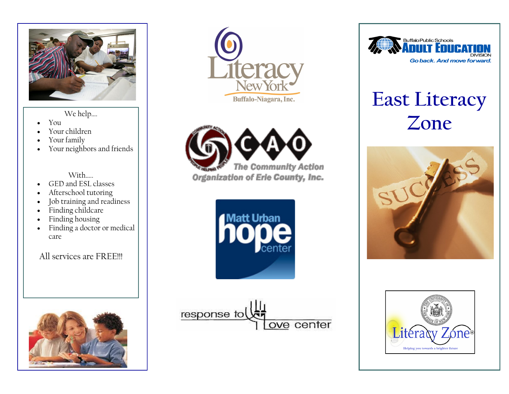

- You
- Your children
- Your family
- Your neighbors and friends

With

- GED and ESL classes
- Afterschool tutoring
- Job training and readiness
- Finding childcare
- Finding housing
- Finding a doctor or medical care

## All services are FRFFIII













## **East Literacy**